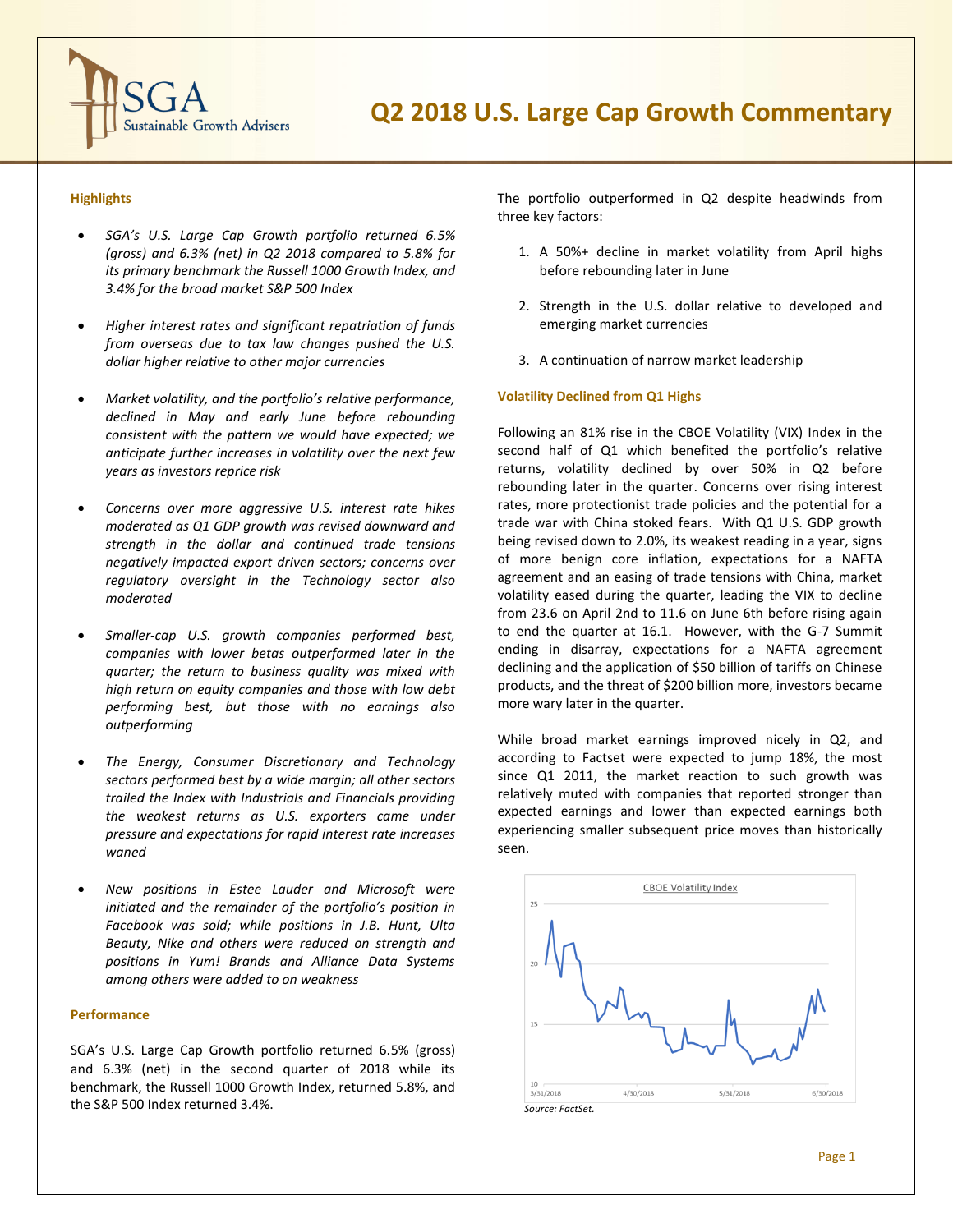

# **Highlights**

- *SGA's U.S. Large Cap Growth portfolio returned 6.5% (gross) and 6.3% (net) in Q2 2018 compared to 5.8% for its primary benchmark the Russell 1000 Growth Index, and 3.4% for the broad market S&P 500 Index*
- *Higher interest rates and significant repatriation of funds from overseas due to tax law changes pushed the U.S. dollar higher relative to other major currencies*
- *Market volatility, and the portfolio's relative performance, declined in May and early June before rebounding consistent with the pattern we would have expected; we anticipate further increases in volatility over the next few years as investors reprice risk*
- *Concerns over more aggressive U.S. interest rate hikes moderated as Q1 GDP growth was revised downward and strength in the dollar and continued trade tensions negatively impacted export driven sectors; concerns over regulatory oversight in the Technology sector also moderated*
- *Smaller-cap U.S. growth companies performed best, companies with lower betas outperformed later in the quarter; the return to business quality was mixed with high return on equity companies and those with low debt performing best, but those with no earnings also outperforming*
- *The Energy, Consumer Discretionary and Technology sectors performed best by a wide margin; all other sectors trailed the Index with Industrials and Financials providing the weakest returns as U.S. exporters came under pressure and expectations for rapid interest rate increases waned*
- *New positions in Estee Lauder and Microsoft were initiated and the remainder of the portfolio's position in Facebook was sold; while positions in J.B. Hunt, Ulta Beauty, Nike and others were reduced on strength and positions in Yum! Brands and Alliance Data Systems among others were added to on weakness*

## **Performance**

SGA's U.S. Large Cap Growth portfolio returned 6.5% (gross) and 6.3% (net) in the second quarter of 2018 while its benchmark, the Russell 1000 Growth Index, returned 5.8%, and the S&P 500 Index returned 3.4%.

The portfolio outperformed in Q2 despite headwinds from three key factors:

- 1. A 50%+ decline in market volatility from April highs before rebounding later in June
- 2. Strength in the U.S. dollar relative to developed and emerging market currencies
- 3. A continuation of narrow market leadership

## **Volatility Declined from Q1 Highs**

Following an 81% rise in the CBOE Volatility (VIX) Index in the second half of Q1 which benefited the portfolio's relative returns, volatility declined by over 50% in Q2 before rebounding later in the quarter. Concerns over rising interest rates, more protectionist trade policies and the potential for a trade war with China stoked fears. With Q1 U.S. GDP growth being revised down to 2.0%, its weakest reading in a year, signs of more benign core inflation, expectations for a NAFTA agreement and an easing of trade tensions with China, market volatility eased during the quarter, leading the VIX to decline from 23.6 on April 2nd to 11.6 on June 6th before rising again to end the quarter at 16.1. However, with the G-7 Summit ending in disarray, expectations for a NAFTA agreement declining and the application of \$50 billion of tariffs on Chinese products, and the threat of \$200 billion more, investors became more wary later in the quarter.

While broad market earnings improved nicely in Q2, and according to Factset were expected to jump 18%, the most since Q1 2011, the market reaction to such growth was relatively muted with companies that reported stronger than expected earnings and lower than expected earnings both experiencing smaller subsequent price moves than historically seen.

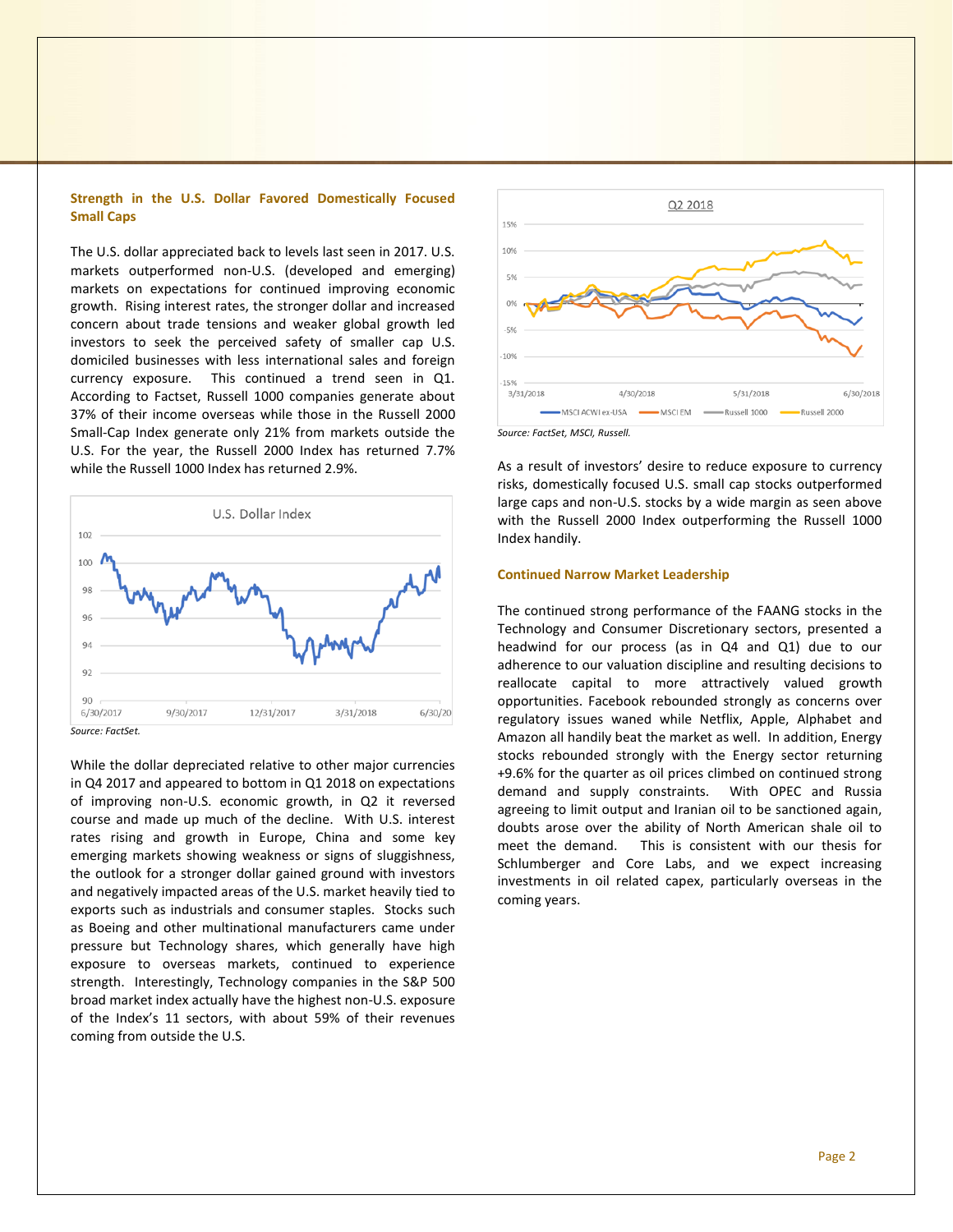## **Strength in the U.S. Dollar Favored Domestically Focused Small Caps**

The U.S. dollar appreciated back to levels last seen in 2017. U.S. markets outperformed non-U.S. (developed and emerging) markets on expectations for continued improving economic growth. Rising interest rates, the stronger dollar and increased concern about trade tensions and weaker global growth led investors to seek the perceived safety of smaller cap U.S. domiciled businesses with less international sales and foreign currency exposure. This continued a trend seen in Q1. According to Factset, Russell 1000 companies generate about 37% of their income overseas while those in the Russell 2000 Small-Cap Index generate only 21% from markets outside the U.S. For the year, the Russell 2000 Index has returned 7.7% while the Russell 1000 Index has returned 2.9%.



While the dollar depreciated relative to other major currencies in Q4 2017 and appeared to bottom in Q1 2018 on expectations of improving non-U.S. economic growth, in Q2 it reversed course and made up much of the decline. With U.S. interest rates rising and growth in Europe, China and some key emerging markets showing weakness or signs of sluggishness, the outlook for a stronger dollar gained ground with investors and negatively impacted areas of the U.S. market heavily tied to exports such as industrials and consumer staples. Stocks such as Boeing and other multinational manufacturers came under pressure but Technology shares, which generally have high exposure to overseas markets, continued to experience strength. Interestingly, Technology companies in the S&P 500 broad market index actually have the highest non-U.S. exposure of the Index's 11 sectors, with about 59% of their revenues coming from outside the U.S.



As a result of investors' desire to reduce exposure to currency risks, domestically focused U.S. small cap stocks outperformed large caps and non-U.S. stocks by a wide margin as seen above with the Russell 2000 Index outperforming the Russell 1000 Index handily.

## **Continued Narrow Market Leadership**

The continued strong performance of the FAANG stocks in the Technology and Consumer Discretionary sectors, presented a headwind for our process (as in Q4 and Q1) due to our adherence to our valuation discipline and resulting decisions to reallocate capital to more attractively valued growth opportunities. Facebook rebounded strongly as concerns over regulatory issues waned while Netflix, Apple, Alphabet and Amazon all handily beat the market as well. In addition, Energy stocks rebounded strongly with the Energy sector returning +9.6% for the quarter as oil prices climbed on continued strong demand and supply constraints. With OPEC and Russia agreeing to limit output and Iranian oil to be sanctioned again, doubts arose over the ability of North American shale oil to meet the demand. This is consistent with our thesis for Schlumberger and Core Labs, and we expect increasing investments in oil related capex, particularly overseas in the coming years.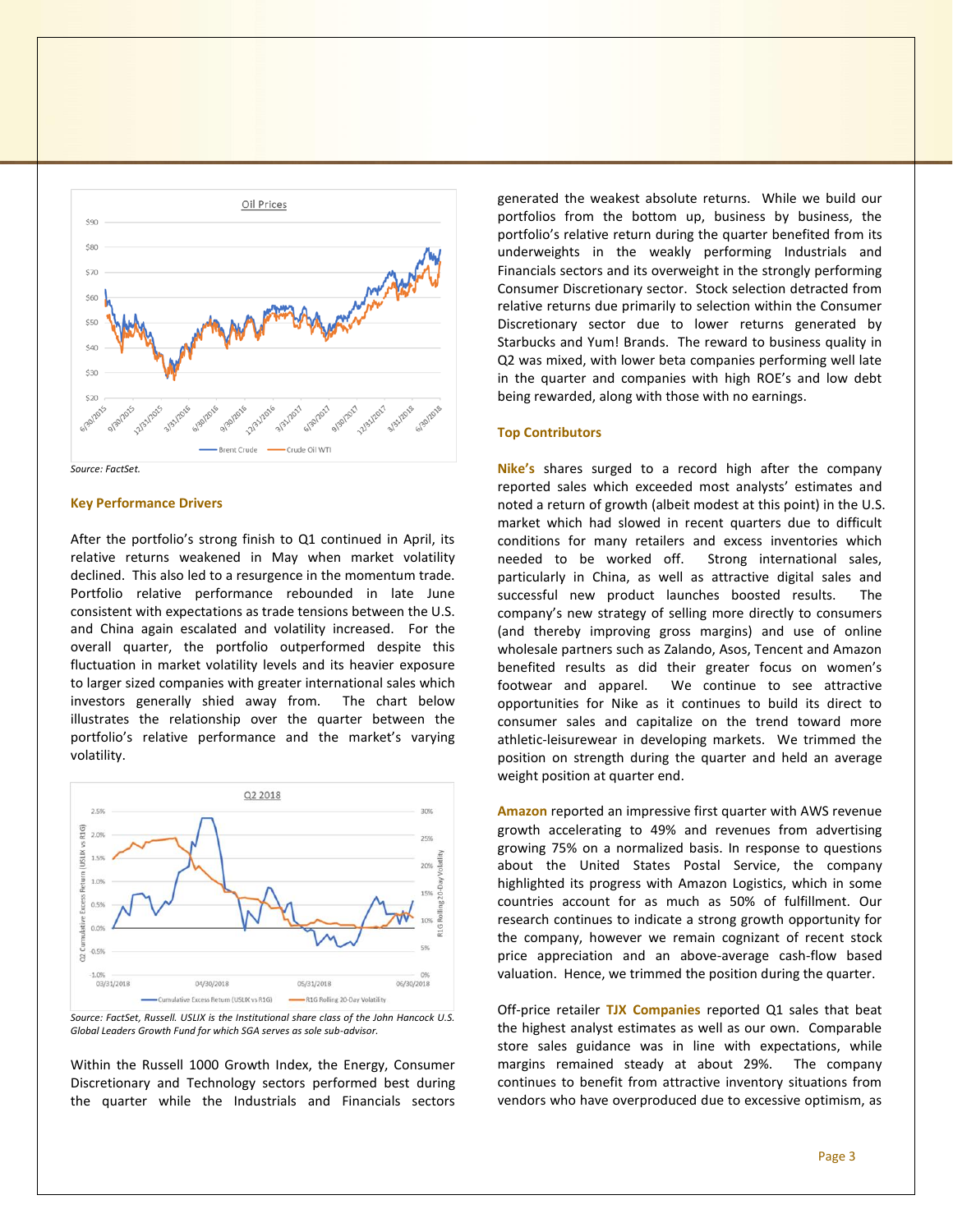



#### **Key Performance Drivers**

After the portfolio's strong finish to Q1 continued in April, its relative returns weakened in May when market volatility declined. This also led to a resurgence in the momentum trade. Portfolio relative performance rebounded in late June consistent with expectations as trade tensions between the U.S. and China again escalated and volatility increased. For the overall quarter, the portfolio outperformed despite this fluctuation in market volatility levels and its heavier exposure to larger sized companies with greater international sales which investors generally shied away from. The chart below illustrates the relationship over the quarter between the portfolio's relative performance and the market's varying volatility.





Within the Russell 1000 Growth Index, the Energy, Consumer Discretionary and Technology sectors performed best during the quarter while the Industrials and Financials sectors generated the weakest absolute returns. While we build our portfolios from the bottom up, business by business, the portfolio's relative return during the quarter benefited from its underweights in the weakly performing Industrials and Financials sectors and its overweight in the strongly performing Consumer Discretionary sector. Stock selection detracted from relative returns due primarily to selection within the Consumer Discretionary sector due to lower returns generated by Starbucks and Yum! Brands. The reward to business quality in Q2 was mixed, with lower beta companies performing well late in the quarter and companies with high ROE's and low debt being rewarded, along with those with no earnings.

### **Top Contributors**

**Nike's** shares surged to a record high after the company reported sales which exceeded most analysts' estimates and noted a return of growth (albeit modest at this point) in the U.S. market which had slowed in recent quarters due to difficult conditions for many retailers and excess inventories which needed to be worked off. Strong international sales, particularly in China, as well as attractive digital sales and successful new product launches boosted results. The company's new strategy of selling more directly to consumers (and thereby improving gross margins) and use of online wholesale partners such as Zalando, Asos, Tencent and Amazon benefited results as did their greater focus on women's footwear and apparel. We continue to see attractive opportunities for Nike as it continues to build its direct to consumer sales and capitalize on the trend toward more athletic-leisurewear in developing markets. We trimmed the position on strength during the quarter and held an average weight position at quarter end.

**Amazon** reported an impressive first quarter with AWS revenue growth accelerating to 49% and revenues from advertising growing 75% on a normalized basis. In response to questions about the United States Postal Service, the company highlighted its progress with Amazon Logistics, which in some countries account for as much as 50% of fulfillment. Our research continues to indicate a strong growth opportunity for the company, however we remain cognizant of recent stock price appreciation and an above-average cash-flow based valuation. Hence, we trimmed the position during the quarter.

Off-price retailer **TJX Companies** reported Q1 sales that beat the highest analyst estimates as well as our own. Comparable store sales guidance was in line with expectations, while margins remained steady at about 29%. The company continues to benefit from attractive inventory situations from vendors who have overproduced due to excessive optimism, as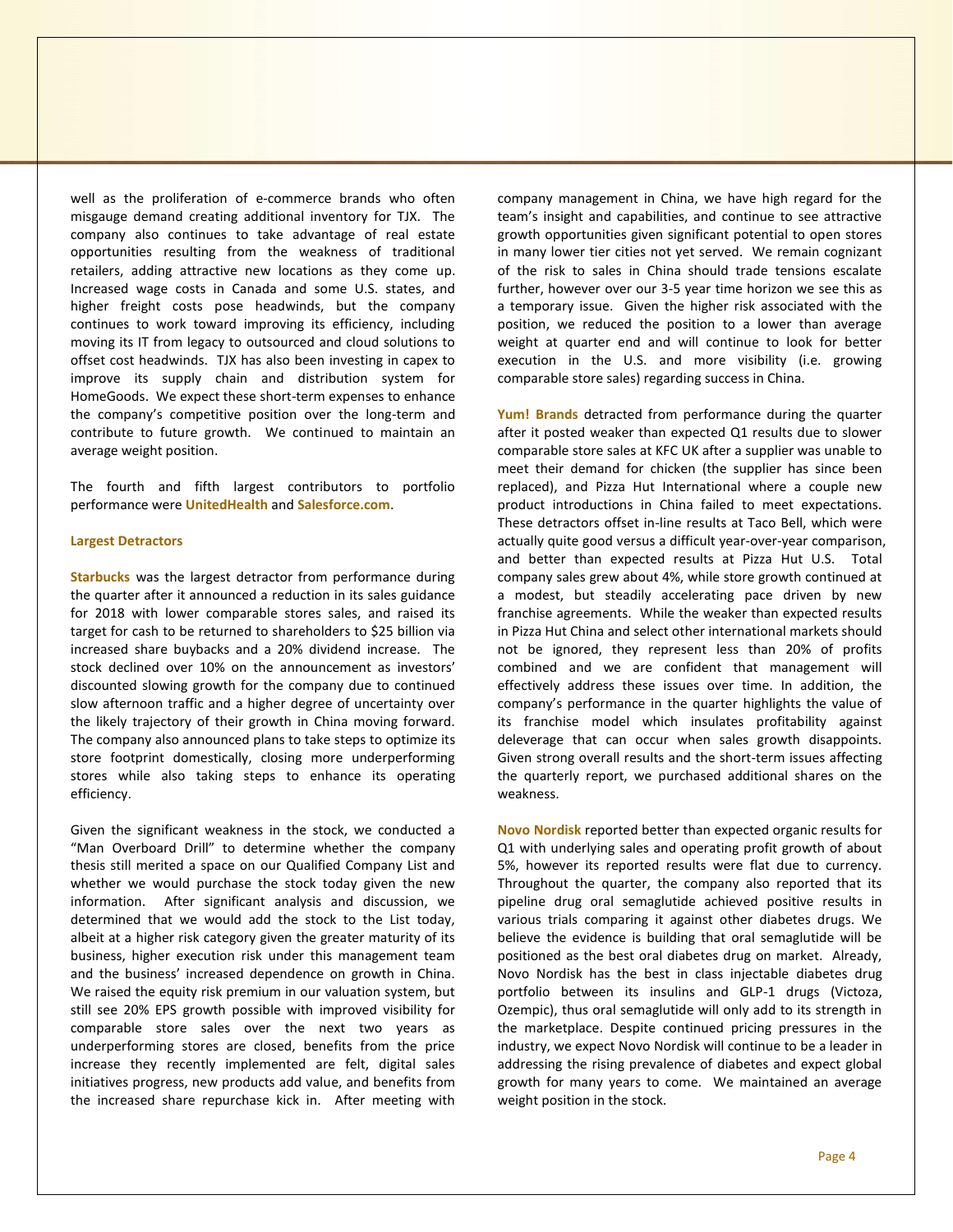well as the proliferation of e-commerce brands who often misgauge demand creating additional inventory for TJX. The company also continues to take advantage of real estate opportunities resulting from the weakness of traditional retailers, adding attractive new locations as they come up. Increased wage costs in Canada and some U.S. states, and higher freight costs pose headwinds, but the company continues to work toward improving its efficiency, including moving its IT from legacy to outsourced and cloud solutions to offset cost headwinds. TJX has also been investing in capex to improve its supply chain and distribution system for HomeGoods. We expect these short-term expenses to enhance the company's competitive position over the long-term and contribute to future growth. We continued to maintain an average weight position.

The fourth and fifth largest contributors to portfolio performance were **UnitedHealth** and **Salesforce.com**.

#### **Largest Detractors**

**Starbucks** was the largest detractor from performance during the quarter after it announced a reduction in its sales guidance for 2018 with lower comparable stores sales, and raised its target for cash to be returned to shareholders to \$25 billion via increased share buybacks and a 20% dividend increase. The stock declined over 10% on the announcement as investors' discounted slowing growth for the company due to continued slow afternoon traffic and a higher degree of uncertainty over the likely trajectory of their growth in China moving forward. The company also announced plans to take steps to optimize its store footprint domestically, closing more underperforming stores while also taking steps to enhance its operating efficiency.

Given the significant weakness in the stock, we conducted a "Man Overboard Drill" to determine whether the company thesis still merited a space on our Qualified Company List and whether we would purchase the stock today given the new information. After significant analysis and discussion, we determined that we would add the stock to the List today, albeit at a higher risk category given the greater maturity of its business, higher execution risk under this management team and the business' increased dependence on growth in China. We raised the equity risk premium in our valuation system, but still see 20% EPS growth possible with improved visibility for comparable store sales over the next two years as underperforming stores are closed, benefits from the price increase they recently implemented are felt, digital sales initiatives progress, new products add value, and benefits from the increased share repurchase kick in. After meeting with company management in China, we have high regard for the team's insight and capabilities, and continue to see attractive growth opportunities given significant potential to open stores in many lower tier cities not yet served. We remain cognizant of the risk to sales in China should trade tensions escalate further, however over our 3-5 year time horizon we see this as a temporary issue. Given the higher risk associated with the position, we reduced the position to a lower than average weight at quarter end and will continue to look for better execution in the U.S. and more visibility (i.e. growing comparable store sales) regarding success in China.

**Yum! Brands** detracted from performance during the quarter after it posted weaker than expected Q1 results due to slower comparable store sales at KFC UK after a supplier was unable to meet their demand for chicken (the supplier has since been replaced), and Pizza Hut International where a couple new product introductions in China failed to meet expectations. These detractors offset in-line results at Taco Bell, which were actually quite good versus a difficult year-over-year comparison, and better than expected results at Pizza Hut U.S. Total company sales grew about 4%, while store growth continued at a modest, but steadily accelerating pace driven by new franchise agreements. While the weaker than expected results in Pizza Hut China and select other international markets should not be ignored, they represent less than 20% of profits combined and we are confident that management will effectively address these issues over time. In addition, the company's performance in the quarter highlights the value of its franchise model which insulates profitability against deleverage that can occur when sales growth disappoints. Given strong overall results and the short-term issues affecting the quarterly report, we purchased additional shares on the weakness.

**Novo Nordisk** reported better than expected organic results for Q1 with underlying sales and operating profit growth of about 5%, however its reported results were flat due to currency. Throughout the quarter, the company also reported that its pipeline drug oral semaglutide achieved positive results in various trials comparing it against other diabetes drugs. We believe the evidence is building that oral semaglutide will be positioned as the best oral diabetes drug on market. Already, Novo Nordisk has the best in class injectable diabetes drug portfolio between its insulins and GLP-1 drugs (Victoza, Ozempic), thus oral semaglutide will only add to its strength in the marketplace. Despite continued pricing pressures in the industry, we expect Novo Nordisk will continue to be a leader in addressing the rising prevalence of diabetes and expect global growth for many years to come. We maintained an average weight position in the stock.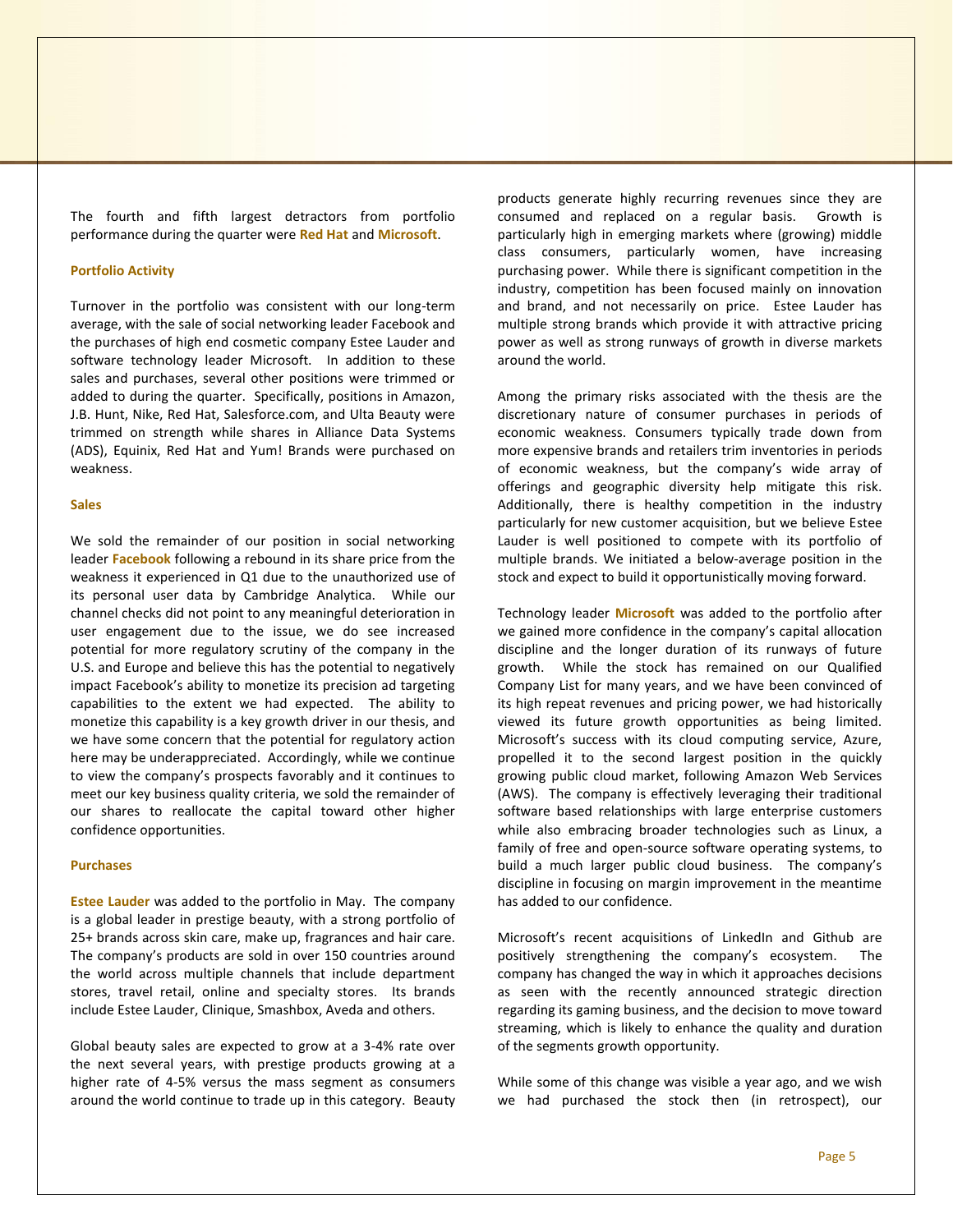The fourth and fifth largest detractors from portfolio performance during the quarter were **Red Hat** and **Microsoft**.

#### **Portfolio Activity**

Turnover in the portfolio was consistent with our long-term average, with the sale of social networking leader Facebook and the purchases of high end cosmetic company Estee Lauder and software technology leader Microsoft. In addition to these sales and purchases, several other positions were trimmed or added to during the quarter. Specifically, positions in Amazon, J.B. Hunt, Nike, Red Hat, Salesforce.com, and Ulta Beauty were trimmed on strength while shares in Alliance Data Systems (ADS), Equinix, Red Hat and Yum! Brands were purchased on weakness.

## **Sales**

We sold the remainder of our position in social networking leader **Facebook** following a rebound in its share price from the weakness it experienced in Q1 due to the unauthorized use of its personal user data by Cambridge Analytica. While our channel checks did not point to any meaningful deterioration in user engagement due to the issue, we do see increased potential for more regulatory scrutiny of the company in the U.S. and Europe and believe this has the potential to negatively impact Facebook's ability to monetize its precision ad targeting capabilities to the extent we had expected. The ability to monetize this capability is a key growth driver in our thesis, and we have some concern that the potential for regulatory action here may be underappreciated. Accordingly, while we continue to view the company's prospects favorably and it continues to meet our key business quality criteria, we sold the remainder of our shares to reallocate the capital toward other higher confidence opportunities.

#### **Purchases**

**Estee Lauder** was added to the portfolio in May. The company is a global leader in prestige beauty, with a strong portfolio of 25+ brands across skin care, make up, fragrances and hair care. The company's products are sold in over 150 countries around the world across multiple channels that include department stores, travel retail, online and specialty stores. Its brands include Estee Lauder, Clinique, Smashbox, Aveda and others.

Global beauty sales are expected to grow at a 3-4% rate over the next several years, with prestige products growing at a higher rate of 4-5% versus the mass segment as consumers around the world continue to trade up in this category. Beauty

products generate highly recurring revenues since they are consumed and replaced on a regular basis. Growth is particularly high in emerging markets where (growing) middle class consumers, particularly women, have increasing purchasing power. While there is significant competition in the industry, competition has been focused mainly on innovation and brand, and not necessarily on price. Estee Lauder has multiple strong brands which provide it with attractive pricing power as well as strong runways of growth in diverse markets around the world.

Among the primary risks associated with the thesis are the discretionary nature of consumer purchases in periods of economic weakness. Consumers typically trade down from more expensive brands and retailers trim inventories in periods of economic weakness, but the company's wide array of offerings and geographic diversity help mitigate this risk. Additionally, there is healthy competition in the industry particularly for new customer acquisition, but we believe Estee Lauder is well positioned to compete with its portfolio of multiple brands. We initiated a below-average position in the stock and expect to build it opportunistically moving forward.

Technology leader **Microsoft** was added to the portfolio after we gained more confidence in the company's capital allocation discipline and the longer duration of its runways of future growth. While the stock has remained on our Qualified Company List for many years, and we have been convinced of its high repeat revenues and pricing power, we had historically viewed its future growth opportunities as being limited. Microsoft's success with its cloud computing service, Azure, propelled it to the second largest position in the quickly growing public cloud market, following Amazon Web Services (AWS). The company is effectively leveraging their traditional software based relationships with large enterprise customers while also embracing broader technologies such as Linux, a family of free and open-source software operating systems, to build a much larger public cloud business. The company's discipline in focusing on margin improvement in the meantime has added to our confidence.

Microsoft's recent acquisitions of LinkedIn and Github are positively strengthening the company's ecosystem. The company has changed the way in which it approaches decisions as seen with the recently announced strategic direction regarding its gaming business, and the decision to move toward streaming, which is likely to enhance the quality and duration of the segments growth opportunity.

While some of this change was visible a year ago, and we wish we had purchased the stock then (in retrospect), our